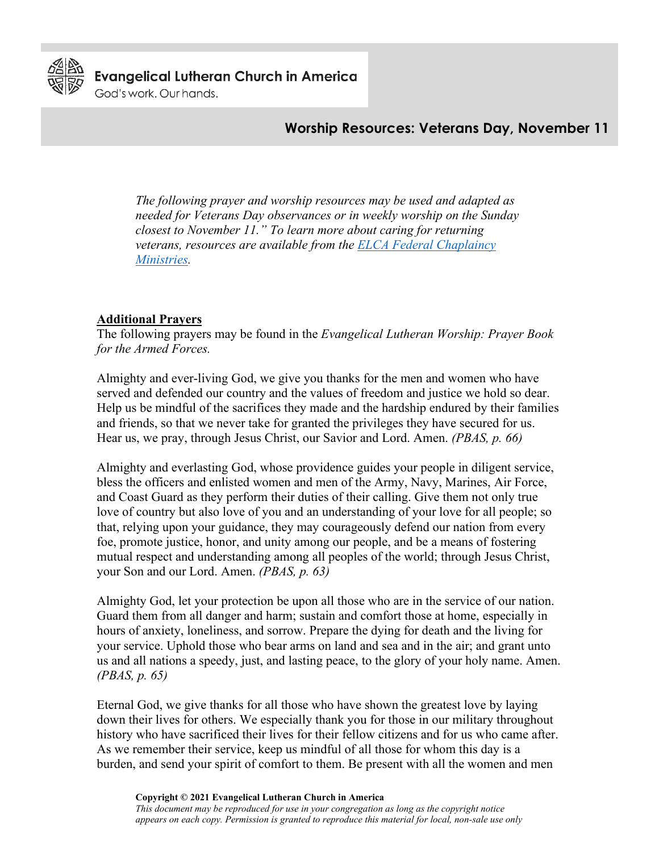

**Evangelical Lutheran Church in America** 

God's work. Our hands.

# **Worship Resources: Veterans Day, November 11**

*The following prayer and worship resources may be used and adapted as needed for Veterans Day observances or in weekly worship on the Sunday closest to November 11." To learn more about caring for returning veterans, resources are available from the [ELCA Federal Chaplaincy](https://www.elca.org/Our-Work/Leadership/Federal-Chaplaincy-Ministries/Care-for-Returning-Veterans)  [Ministries.](https://www.elca.org/Our-Work/Leadership/Federal-Chaplaincy-Ministries/Care-for-Returning-Veterans)*

#### **Additional Prayers**

The following prayers may be found in the *Evangelical Lutheran Worship: Prayer Book for the Armed Forces.*

Almighty and ever-living God, we give you thanks for the men and women who have served and defended our country and the values of freedom and justice we hold so dear. Help us be mindful of the sacrifices they made and the hardship endured by their families and friends, so that we never take for granted the privileges they have secured for us. Hear us, we pray, through Jesus Christ, our Savior and Lord. Amen. *(PBAS, p. 66)*

Almighty and everlasting God, whose providence guides your people in diligent service, bless the officers and enlisted women and men of the Army, Navy, Marines, Air Force, and Coast Guard as they perform their duties of their calling. Give them not only true love of country but also love of you and an understanding of your love for all people; so that, relying upon your guidance, they may courageously defend our nation from every foe, promote justice, honor, and unity among our people, and be a means of fostering mutual respect and understanding among all peoples of the world; through Jesus Christ, your Son and our Lord. Amen. *(PBAS, p. 63)*

Almighty God, let your protection be upon all those who are in the service of our nation. Guard them from all danger and harm; sustain and comfort those at home, especially in hours of anxiety, loneliness, and sorrow. Prepare the dying for death and the living for your service. Uphold those who bear arms on land and sea and in the air; and grant unto us and all nations a speedy, just, and lasting peace, to the glory of your holy name. Amen. *(PBAS, p. 65)*

Eternal God, we give thanks for all those who have shown the greatest love by laying down their lives for others. We especially thank you for those in our military throughout history who have sacrificed their lives for their fellow citizens and for us who came after. As we remember their service, keep us mindful of all those for whom this day is a burden, and send your spirit of comfort to them. Be present with all the women and men

**Copyright © 2021 Evangelical Lutheran Church in America**

*This document may be reproduced for use in your congregation as long as the copyright notice appears on each copy. Permission is granted to reproduce this material for local, non-sale use only*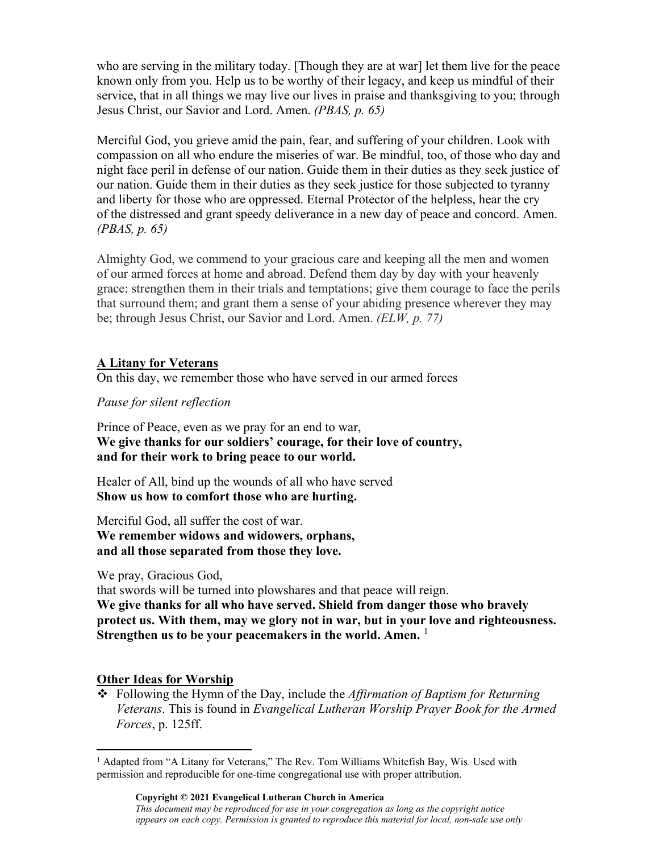who are serving in the military today. [Though they are at war] let them live for the peace known only from you. Help us to be worthy of their legacy, and keep us mindful of their service, that in all things we may live our lives in praise and thanksgiving to you; through Jesus Christ, our Savior and Lord. Amen. *(PBAS, p. 65)*

Merciful God, you grieve amid the pain, fear, and suffering of your children. Look with compassion on all who endure the miseries of war. Be mindful, too, of those who day and night face peril in defense of our nation. Guide them in their duties as they seek justice of our nation. Guide them in their duties as they seek justice for those subjected to tyranny and liberty for those who are oppressed. Eternal Protector of the helpless, hear the cry of the distressed and grant speedy deliverance in a new day of peace and concord. Amen. *(PBAS, p. 65)*

Almighty God, we commend to your gracious care and keeping all the men and women of our armed forces at home and abroad. Defend them day by day with your heavenly grace; strengthen them in their trials and temptations; give them courage to face the perils that surround them; and grant them a sense of your abiding presence wherever they may be; through Jesus Christ, our Savior and Lord. Amen. *(ELW, p. 77)*

### **A Litany for Veterans**

On this day, we remember those who have served in our armed forces

*Pause for silent reflection*

Prince of Peace, even as we pray for an end to war, **We give thanks for our soldiers' courage, for their love of country, and for their work to bring peace to our world.**

Healer of All, bind up the wounds of all who have served **Show us how to comfort those who are hurting.**

Merciful God, all suffer the cost of war. **We remember widows and widowers, orphans, and all those separated from those they love.**

We pray, Gracious God,

that swords will be turned into plowshares and that peace will reign. **We give thanks for all who have served. Shield from danger those who bravely protect us. With them, may we glory not in war, but in your love and righteousness. Strengthen us to be your peacemakers in the world. Amen.** [1](#page-1-0)

#### **Other Ideas for Worship**

 Following the Hymn of the Day, include the *Affirmation of Baptism for Returning Veterans*. This is found in *Evangelical Lutheran Worship Prayer Book for the Armed Forces*, p. 125ff.

<span id="page-1-0"></span><sup>1</sup> Adapted from "A Litany for Veterans," The Rev. Tom Williams Whitefish Bay, Wis. Used with permission and reproducible for one-time congregational use with proper attribution.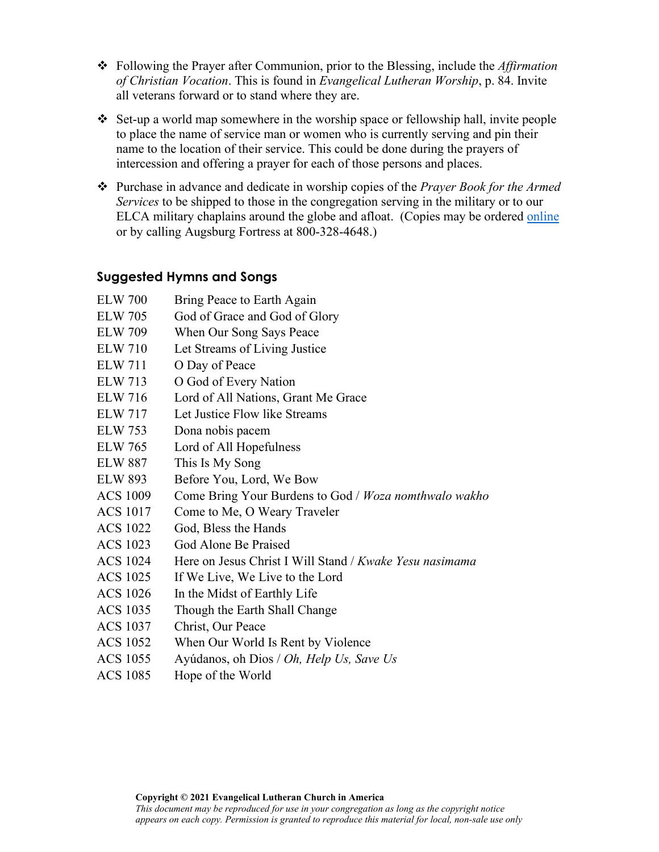- Following the Prayer after Communion, prior to the Blessing, include the *Affirmation of Christian Vocation*. This is found in *Evangelical Lutheran Worship*, p. 84. Invite all veterans forward or to stand where they are.
- Set-up a world map somewhere in the worship space or fellowship hall, invite people to place the name of service man or women who is currently serving and pin their name to the location of their service. This could be done during the prayers of intercession and offering a prayer for each of those persons and places.
- Purchase in advance and dedicate in worship copies of the *Prayer Book for the Armed Services* to be shipped to those in the congregation serving in the military or to our ELCA military chaplains around the globe and afloat. (Copies may be ordered online or by calling Augsburg Fortress at 800-328-4648.)

# **Suggested Hymns and Songs**

- ELW 700 Bring Peace to Earth Again
- ELW 705 God of Grace and God of Glory
- ELW 709 When Our Song Says Peace
- ELW 710 Let Streams of Living Justice
- ELW 711 O Day of Peace
- ELW 713 O God of Every Nation
- ELW 716 Lord of All Nations, Grant Me Grace
- ELW 717 Let Justice Flow like Streams
- ELW 753 Dona nobis pacem
- ELW 765 Lord of All Hopefulness
- ELW 887 This Is My Song
- ELW 893 Before You, Lord, We Bow
- ACS 1009 Come Bring Your Burdens to God / *Woza nomthwalo wakho*
- ACS 1017 Come to Me, O Weary Traveler
- ACS 1022 God, Bless the Hands
- ACS 1023 God Alone Be Praised
- ACS 1024 Here on Jesus Christ I Will Stand / *Kwake Yesu nasimama*
- ACS 1025 If We Live, We Live to the Lord
- ACS 1026 In the Midst of Earthly Life
- ACS 1035 Though the Earth Shall Change
- ACS 1037 Christ, Our Peace
- ACS 1052 When Our World Is Rent by Violence
- ACS 1055 Ayúdanos, oh Dios / *Oh, Help Us, Save Us*
- ACS 1085 Hope of the World